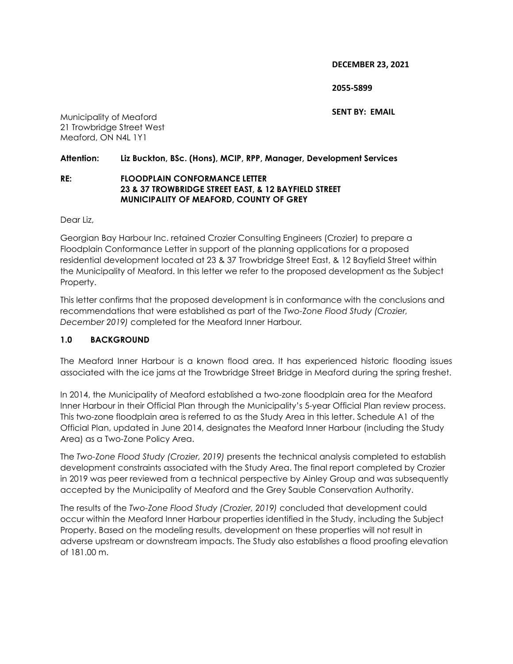**DECEMBER 23, 2021**

**2055-5899** 

**SENT BY: EMAIL** 

Municipality of Meaford 21 Trowbridge Street West Meaford, ON N4L 1Y1

### **Attention: Liz Buckton, BSc. (Hons), MCIP, RPP, Manager, Development Services**

#### **RE: FLOODPLAIN CONFORMANCE LETTER 23 & 37 TROWBRIDGE STREET EAST, & 12 BAYFIELD STREET MUNICIPALITY OF MEAFORD, COUNTY OF GREY**

Dear Liz,

Georgian Bay Harbour Inc. retained Crozier Consulting Engineers (Crozier) to prepare a Floodplain Conformance Letter in support of the planning applications for a proposed residential development located at 23 & 37 Trowbridge Street East, & 12 Bayfield Street within the Municipality of Meaford. In this letter we refer to the proposed development as the Subject Property.

This letter confirms that the proposed development is in conformance with the conclusions and recommendations that were established as part of the *Two-Zone Flood Study (Crozier, December 2019)* completed for the Meaford Inner Harbour*.* 

# **1.0 BACKGROUND**

The Meaford Inner Harbour is a known flood area. It has experienced historic flooding issues associated with the ice jams at the Trowbridge Street Bridge in Meaford during the spring freshet.

In 2014, the Municipality of Meaford established a two-zone floodplain area for the Meaford Inner Harbour in their Official Plan through the Municipality's 5-year Official Plan review process. This two-zone floodplain area is referred to as the Study Area in this letter. Schedule A1 of the Official Plan, updated in June 2014, designates the Meaford Inner Harbour (including the Study Area) as a Two-Zone Policy Area.

The *Two-Zone Flood Study (Crozier, 2019)* presents the technical analysis completed to establish development constraints associated with the Study Area. The final report completed by Crozier in 2019 was peer reviewed from a technical perspective by Ainley Group and was subsequently accepted by the Municipality of Meaford and the Grey Sauble Conservation Authority.

The results of the *Two-Zone Flood Study (Crozier, 2019)* concluded that development could occur within the Meaford Inner Harbour properties identified in the Study, including the Subject Property. Based on the modeling results, development on these properties will not result in adverse upstream or downstream impacts. The Study also establishes a flood proofing elevation of 181.00 m.